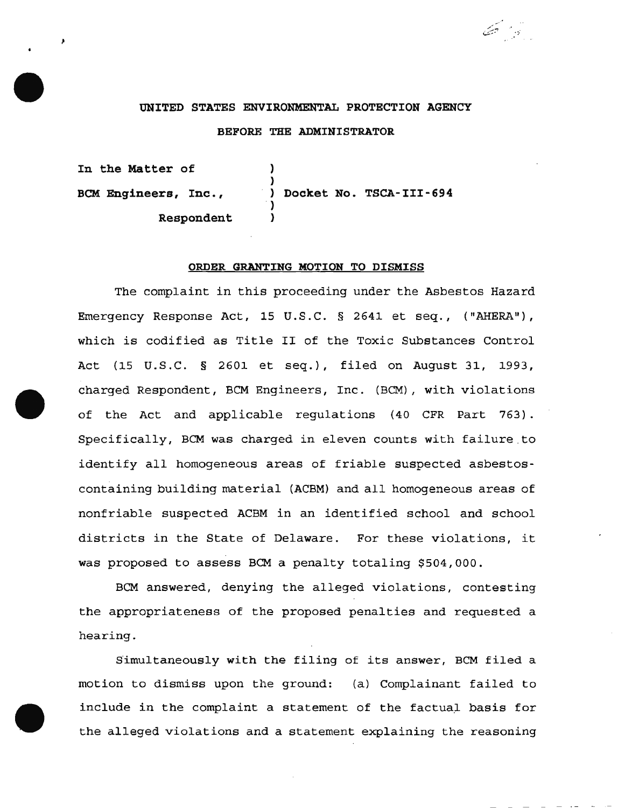# UNITED STATES ENVIRONMENTAL PROTECTION AGENCY BEFORE THE ADMINISTRATOR

 $\mathcal{L}=\mathcal{L}$ 

In the Matter of } BCM Engineers, Inc., Respondent } Docket No. TSCA-III-694 ) }

#### ORDER GRANTING MOTION TO DISMISS

The complaint in this proceeding under the Asbestos Hazard Emergency Response Act, 15 U.S.C. § 2641 et seq., ("AHERA"), which is codified as Title II of the Toxic Substances Control Act (15 u.s.c. § 2601 et seq.), filed on August 31, 1993, charged Respondent, BCM Engineers, Inc. (BCM), with violations of the Act and applicable regulations (40 CFR Part 763) . Specifically, BCM was charged in eleven counts with failure to identify all homogeneous areas of friable suspected asbestoscontaining building material (ACBM) and all homogeneous areas of nonfriable suspected ACBM in an identified school and school districts in the State of Delaware. For these violations, it was proposed to assess BCM a penalty totaling \$504,000.

BCM answered, denying the alleged violations, contesting the appropriateness of the proposed penalties and requested a hearing.

Simultaneously with the filing of its answer, BCM filed a motion to dismiss upon the ground: (a) Complainant failed to include in the complaint a statement of the factual basis for the alleged violations and a statement explaining the reasoning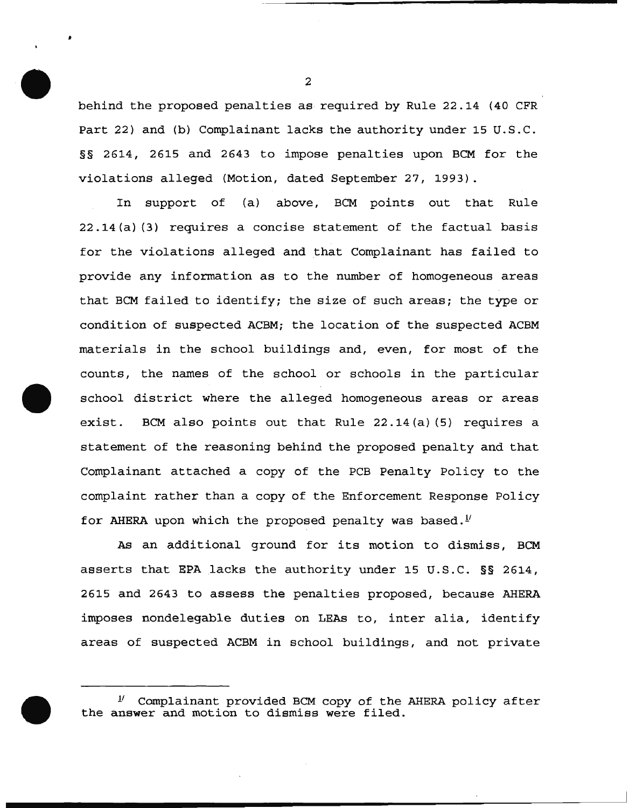behind the proposed penalties as required by Rule 22.14 (40 CFR Part 22) and (b) Complainant lacks the authority under 15 U.S.C. §§ 2614, 2615 and 2643 to impose penalties upon BCM for the violations alleged (Motion, dated September 27, 1993).

In support of (a) above, BCM points out that Rule 22.14(a) (3) requires a concise statement of the factual basis for the violations alleged and that Complainant has failed to provide any information as to the number of homogeneous areas that BCM failed to identify; the size of such areas; the type or condition of suspected ACBM; the location of the suspected ACBM materials in the school buildings and, even, for most of the counts, the names of the school or schools in the particular school district where the alleged homogeneous areas or areas exist. BCM also points out that Rule 22.14(a) (5) requires a statement of the reasoning behind the proposed penalty and that Complainant attached a copy of the PCB Penalty Policy to the complaint rather than a copy of the Enforcement Response Policy for AHERA upon which the proposed penalty was based.<sup> $V$ </sup>

As an additional ground for its motion to dismiss, BCM asserts that EPA lacks the authority under 15 U.S.C. §§ 2614, 2615 and 2643 to assess the penalties proposed, because AHERA imposes nondelegable duties on LEAs to, inter alia, identify areas of suspected ACBM in school buildings, and not private

2

•

*lt* Complainant provided BCM copy of the AHERA policy after the answer and motion to dismiss were filed.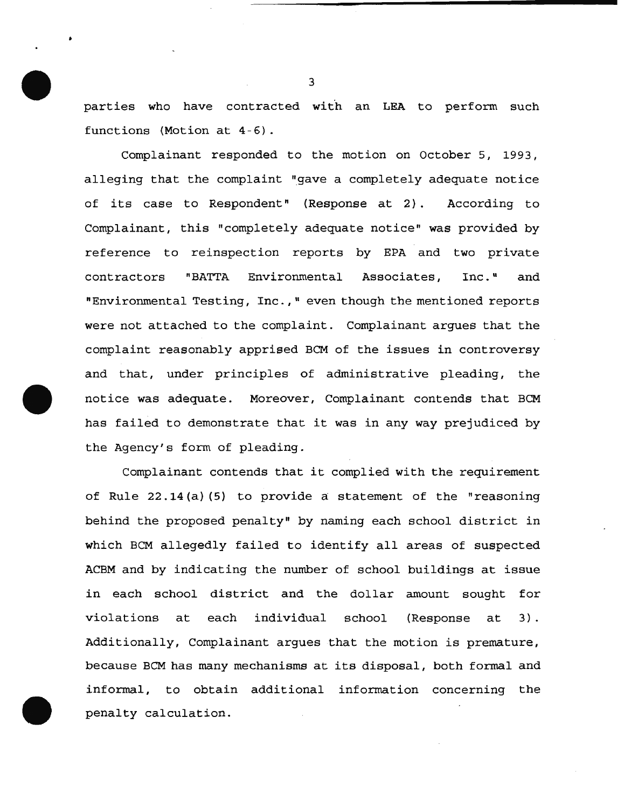parties who have contracted with an LEA to perform such functions (Motion at 4-6).

Complainant responded to the motion on October 5, 1993, alleging that the complaint "gave a completely adequate notice of its case to Respondent" (Response at 2) . According to Complainant, this "completely adequate notice" was provided by reference to reinspection reports by EPA and two private contractors "BATTA Environmental Associates, Inc." and "Environmental Testing, Inc., " even though the mentioned reports were not attached to the complaint. Complainant argues that the complaint reasonably apprised BCM of the issues in controversy and that, under principles of administrative pleading, the notice was adequate. Moreover, Complainant contends that BCM has failed to demonstrate that it was in any way prejudiced by the Agency's form of pleading.

Complainant contends that it complied with the requirement of Rule 22.14 (a) (5) to provide a statement of the "reasoning behind the proposed penalty" by naming each school district in which BCM allegedly failed to identify all areas of suspected ACBM and by indicating the number of school buildings at issue in each school district and the dollar amount sought for violations at each individual school (Response at 3). Additionally, Complainant argues that the motion is premature, because BCM has many mechanisms at its disposal, both formal and informal, to obtain additional information concerning the penalty calculation.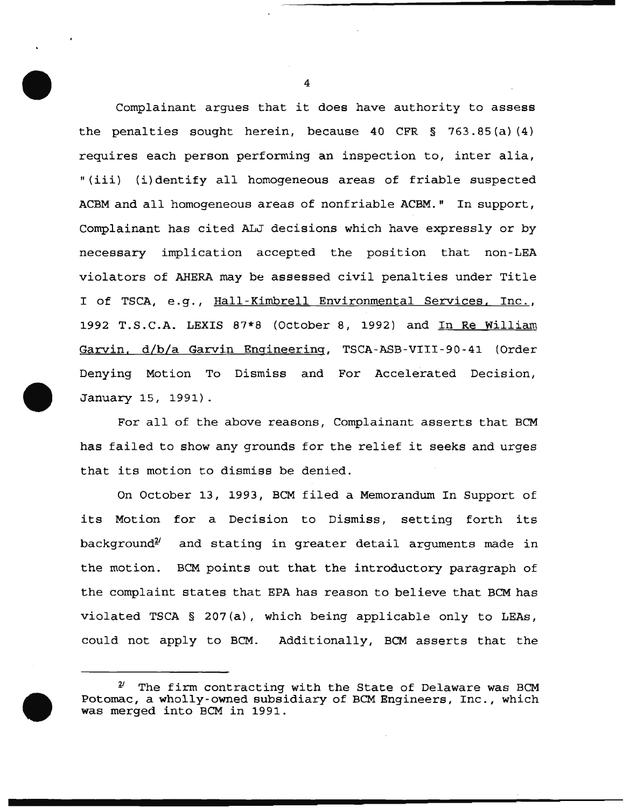Complainant argues that it does have authority to assess the penalties sought herein, because 40 CFR  $\S$  763.85(a)(4) requires each person performing an inspection to, inter alia, "(iii) (i) dentify all homogeneous areas of friable suspected ACBM and all homogeneous areas of nonfriable ACBM." In support, Complainant has cited ALJ decisions which have expressly or by necessary implication accepted the position that non-LEA violators of AHERA may be assessed civil penalties under Title I of TSCA, e.g., Hall-Kimbrell Environmental Services, Inc., 1992 T.S.C.A. LEXIS 87\*8 (October 8, 1992) and In Re William Garvin. d/b/a Garvin Engineering, TSCA-ASB-VIII-90-41 (Order Denying Motion To Dismiss and For Accelerated Decision, January 15, 1991).

For all of the above reasons, Complainant asserts that BCM has failed to show any grounds for the relief it seeks and urges that its motion to dismiss be denied.

On October 13, 1993, BCM filed a Memorandum In Support of its Motion for a Decision to Dismiss, setting forth its  $background<sup>2</sup>$  and stating in greater detail arguments made in the motion. BCM points out that the introductory paragraph of the complaint states that EPA has reason to believe that BCM has violated TSCA § 207(a}, which being applicable only to LEAs, could not apply to BCM. Additionally, BCM asserts that the

*<sup>1&#</sup>x27;* The firm contracting with the State of Delaware was BCM Potomac, a wholly-owned subsidiary of BCM Engineers, Inc., which was merged into BCM in 1991.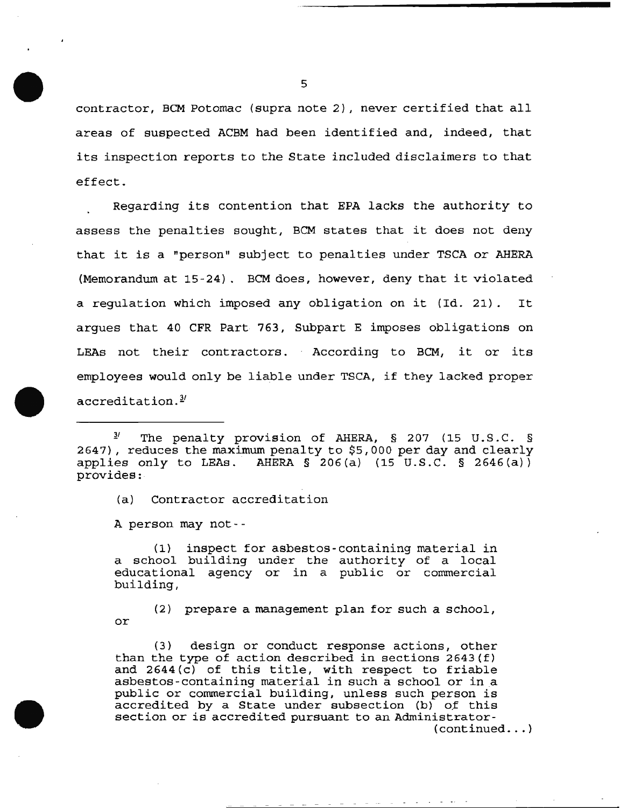contractor, BCM Potomac {supra note 2), never certified that all areas of suspected ACBM had been identified and, indeed, that its inspection reports to the State included disclaimers to that effect.

Regarding its contention that EPA lacks the authority to assess the penalties sought, BCM states that it does not deny that it is a "person" subject to penalties under TSCA or AHERA (Memorandum at 15 -24) . BCM does, however, deny that it violated a regulation which imposed any obligation on it (Id. 21) . It argues that 40 CFR Part 763, Subpart E imposes obligations on LEAs not their contractors. According to BCM, it or its employees would only be liable under TSCA, if they lacked proper accreditation.<sup>3</sup>

(a) Contractor accreditation

A person may not--

(1) inspect for asbestos-containing material in a school building under the authority of a local educational agency or in a public or commercial building,

(2) prepare a management plan for such a school, or

(3) design or conduct response actions, other than the type of action described in sections 2643(f) and 2644(c) of this title, with respect to friable asbestos-containing material in such a school or in a public or commercial building, unless such person is accredited by a State under subsection  $(b)$  of this section or is accredited pursuant to an Administrator-  $($  continued  $\ldots$  )

 $\frac{3}{2}$  The penalty provision of AHERA, § 207 (15 U.S.C. § 2647), reduces the maximum penalty to \$5,000 per day and clearly applies only to LEAs. AHERA  $\S$  206(a) (15 U.S.C.  $\S$  2646(a)) provides: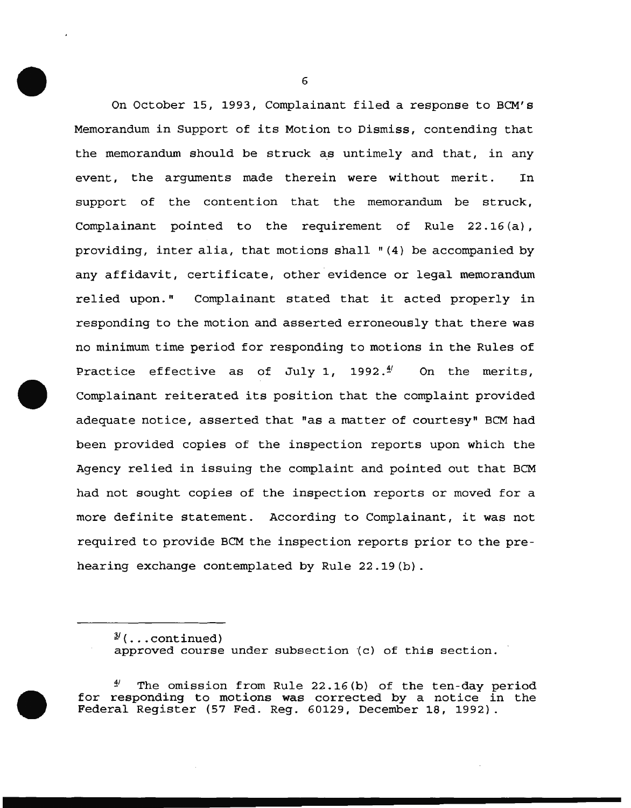On October 15, 1993, Complainant filed a response to BCM's Memorandum in Support of its Motion to Dismiss, contending that the memorandum should be struck as untimely and that, in any event, the arguments made therein were without merit. In support of the contention that the memorandum be struck, Complainant pointed to the requirement of Rule 22.16(a), providing, inter alia, that motions shall "(4) be accompanied by any affidavit, certificate, other evidence or legal memorandum relied upon." Complainant stated that it acted properly in responding to the motion and asserted erroneously that there was no minimum time period for responding to motions in the Rules of Practice effective as of July 1, 1992. $\frac{4}{1}$  On the merits, Complainant reiterated its position that the complaint provided adequate notice, asserted that "as a matter of courtesy" BCM had been provided copies of the inspection reports upon which the Agency relied in issuing the complaint and pointed out that BCM had not sought copies of the inspection reports or moved for a more definite statement. According to Complainant, it was not required to provide BCM the inspection reports prior to the prehearing exchange contemplated by Rule 22.19(b).

The omission from Rule  $22.16(b)$  of the ten-day period for responding to motions was corrected by a notice in the Federal Register (57 Fed. Reg. 60129, December 18, 1992).

<sup>&#</sup>x27;J.' { ••• continued) approved course under subsection (c) of this section.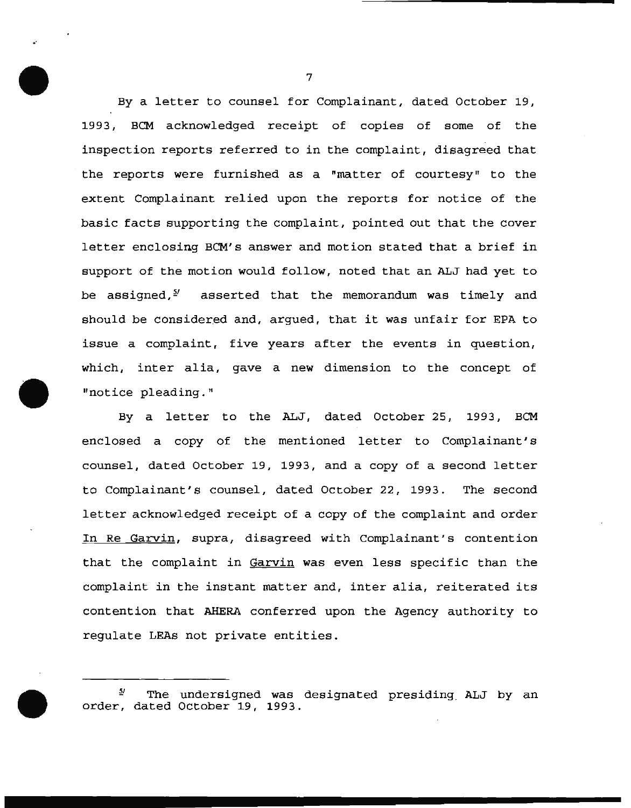By a letter to counsel for Complainant, dated October 19, 1993, BCM acknowledged receipt of copies of some of the inspection reports referred to in the complaint, disagreed that the reports were furnished as a "matter of courtesy" to the extent Complainant relied upon the reports for notice of the basic facts supporting the complaint, pointed out that the cover letter enclosing *BCM's* answer and motion stated that a brief in support of the motion would follow, noted that an ALJ had yet to be assigned, $5'$  asserted that the memorandum was timely and should be considered and, argued, that it was unfair for EPA to issue a complaint, five years after the events in question, which, inter alia, gave a new dimension to the concept of "notice pleading."

By a letter to the ALJ, dated October 25, 1993, BCM enclosed a copy of the mentioned letter to Complainant's counsel, dated October 19, 1993, and a copy of a second letter to Complainant's counsel, dated October 22, 1993. The second letter acknowledged receipt of a copy of the complaint and order In Re Garvin, supra, disagreed with Complainant's contention that the complaint in Garvin was even less specific than the complaint in the instant matter and, inter alia, reiterated its contention that AHERA conferred upon the Agency authority to regulate LEAs not private entities.

7

..

 $^{5\prime}$  The undersigned was designated presiding ALJ by an order, dated October 19, 1993.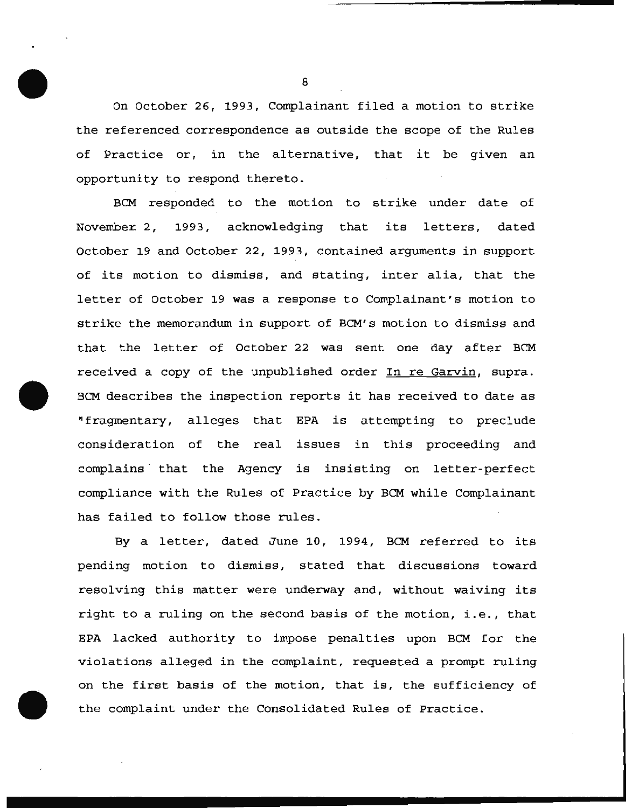On October 26, 1993, Complainant filed a motion to strike the referenced correspondence as outside the scope of the Rules of Practice or, in the alternative, that it be given an opportunity to respond thereto.

BCM responded to the motion to strike under date of Novembe~ 2, 1993, acknowledging that its letters, dated October 19 and October 22, 1993, contained arguments in support of its motion to dismiss, and stating, inter alia, that the letter of October 19 was a response to Complainant's motion to strike the memorandum in support of BCM's motion to dismiss and that the letter of October *22* was sent one day after BCM received a copy of the unpublished order In re Garvin, supra. BCM describes the inspection reports it has received to date as "fragmentary, alleges that EPA is attempting to preclude consideration of the real issues in this proceeding and complains that the Agency is insisting on letter-perfect compliance with the Rules of Practice by BCM while Complainant has failed to follow those rules.

By a letter, dated June 10, 1994, BCM referred to its pending motion to dismiss, stated that discussions toward resolving this matter were underway and, without waiving its right to a ruling on the second basis of the motion, i.e., that EPA lacked authority to impose penalties upon BCM for the violations alleged in the complaint, requested a prompt ruling on the first basis of the motion, that is, the sufficiency of the complaint under the Consolidated Rules of Practice.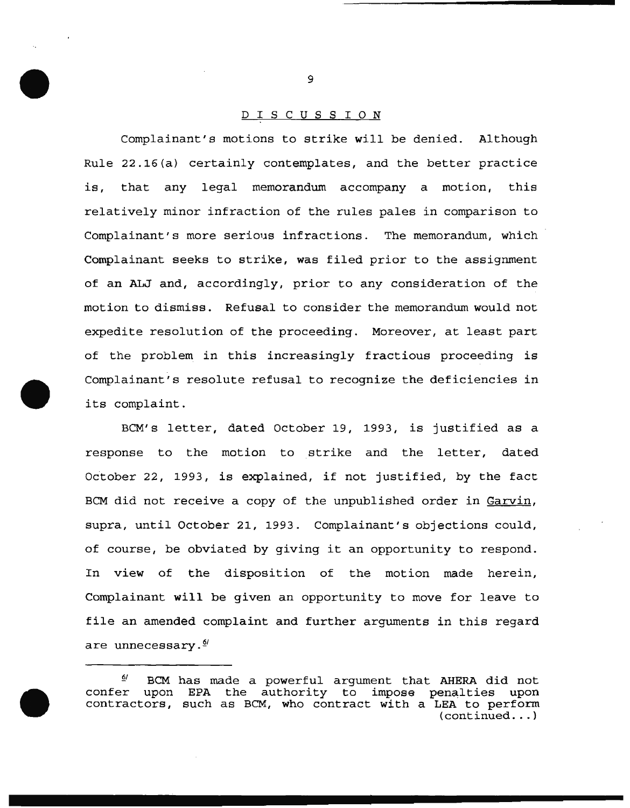## D I S C U S S I 0 N

Complainant's motions to strike will be denied. Although Rule 22.16(a) certainly contemplates, and the better practice is, that any legal memorandum accompany a motion, this relatively minor infraction of the rules pales in comparison to Complainant's more serious infractions. The memorandum, which Complainant seeks to strike, was filed prior to the assignment of an ALJ and, accordingly, prior to any consideration of the motion to dismiss. Refusal to consider the memorandum would not expedite resolution of the proceeding. Moreover, at least part of the problem in this increasingly fractious proceeding is Complainant's resolute refusal to recognize the deficiencies in its complaint.

BCM's letter, dated October 19, 1993, is justified as a response to the motion to strike and the letter, dated October 22, 1993, is explained, if not justified, by the fact BCM did not receive a copy of the unpublished order in Garvin, supra, until October 21, 1993. Complainant's objections could, of course, be obviated by giving it an opportunity to respond. In view of the disposition of the motion made herein, Complainant will be given an opportunity to move for leave to file an amended complaint and further arguments in this regard are unnecessary.<sup>*§*/</sup>

 $\frac{6}{4}$  BCM has made a powerful argument that AHERA did not confer upon EPA the authority to impose penalties upon contractors, such as BCM, who contract with a LEA to perform (continued ... )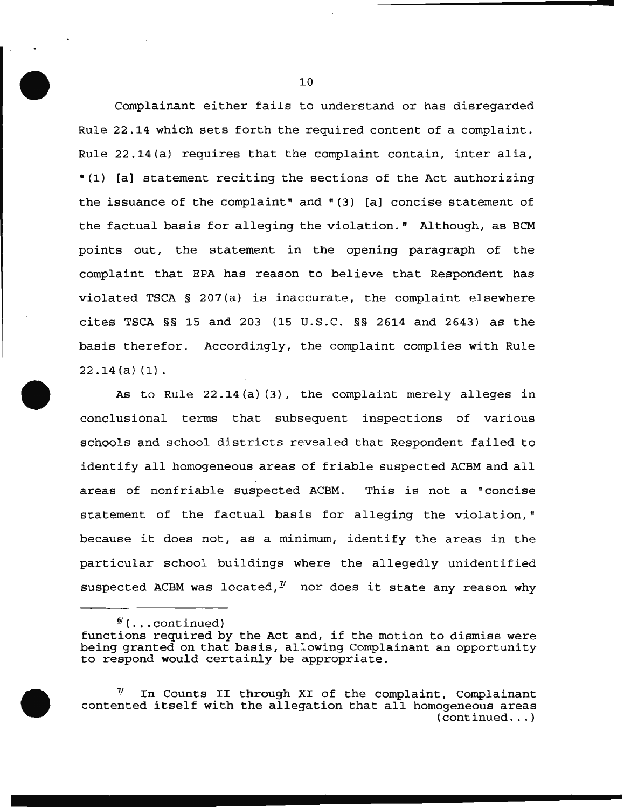Complainant either fails to understand or has disregarded Rule 22.14 which sets forth the required content of a complaint. Rule 22.14(a) requires that the complaint contain, inter alia, "(1) [a] statement reciting the sections of the Act authorizing the issuance of the complaint" and  $(3)$  [a] concise statement of the factual basis for alleging the violation." Although, as BCM points out, the statement in the opening paragraph of the complaint that EPA has reason to believe that Respondent has violated TSCA § 207(a) is inaccurate, the complaint elsewhere cites TSCA §§ 15 and 203 (15 U.S.C. §§ 2614 and 2643) as the basis therefor. Accordingly, the complaint complies with Rule 22.14(a)(1).

As to Rule 22.14(a) (3), the complaint merely alleges in conclusional terms that subsequent inspections of various schools and school districts revealed that Respondent failed to identify all homogeneous areas of friable suspected ACBM and all areas of nonfriable suspected ACBM. This is not a "concise statement of the factual basis for alleging the violation," because it does not, as a minimum, identify the areas in the particular school buildings where the allegedly unidentified suspected ACBM was located,  $\frac{\gamma}{2}$  nor does it state any reason why

*§.'* ( ••• continued)

*l'* In Counts II through XI of the complaint, Complainant contented itself with the allegation that all homogeneous areas (continued ... )

functions required by the Act and, if the motion to dismiss were being granted on that basis, allowing Complainant an opportunity to respond would certainly be appropriate.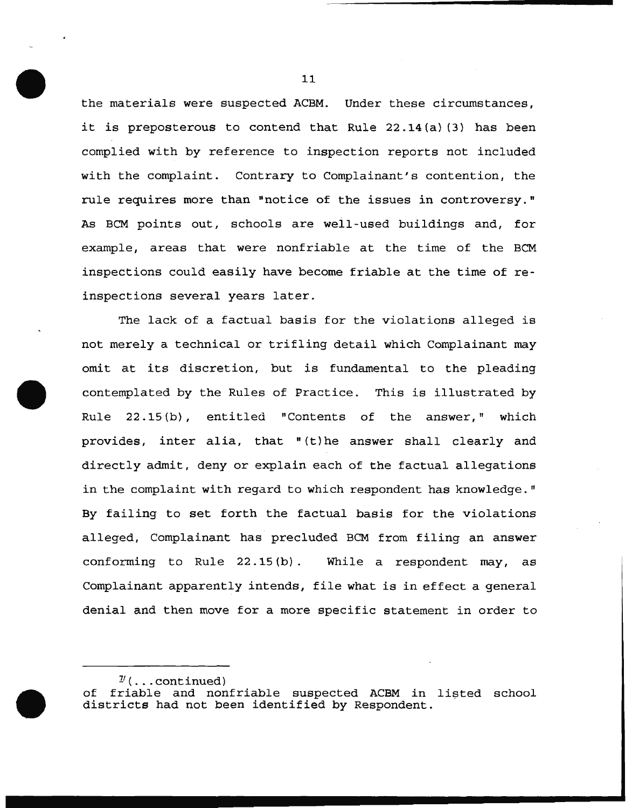the materials were suspected ACBM. Under these circumstances, it is preposterous to contend that Rule 22.14(a) (3) has been complied with by reference to inspection reports not included with the complaint. Contrary to Complainant's contention, the rule requires more than "notice of the issues in controversy." As BCM points out, schools are well-used buildings and, for example, areas that were nonfriable at the time of the BCM inspections could easily have become friable at the time of reinspections several years later.

The lack of a factual basis for the violations alleged is not merely a technical or trifling detail which Complainant may omit at its discretion, but is fundamental to the pleading contemplated by the Rules of Practice. This is illustrated by Rule  $22.15(b)$ , entitled "Contents of the answer," which provides, inter alia, that "(t)he answer shall clearly and directly admit, deny or explain each of the factual allegations in the complaint with regard to which respondent has knowledge." By failing to set forth the factual basis for the violations alleged, Complainant has precluded BCM from filing an answer conforming to Rule 22.15 (b) . While a respondent may, as Complainant apparently intends, file what is in effect a general denial and then move for a more specific statement in order to

 $\frac{\gamma}{\gamma}$  (... continued)

of friable and nonfriable suspected ACBM in listed school districts had not been identified by Respondent.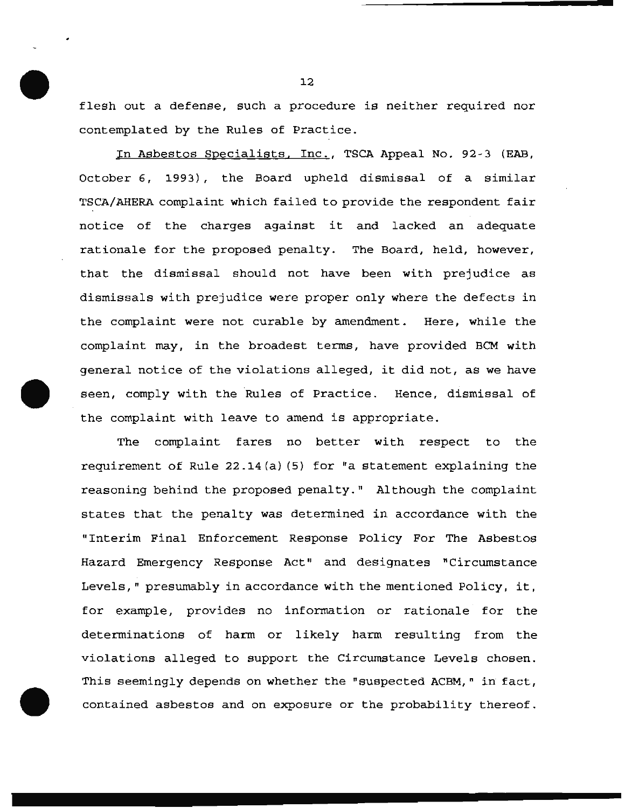flesh out a defense, such a procedure is neither required nor contemplated by the Rules of Practice.

In Asbestos Specialists, Inc., TSCA Appeal No. 92-3 (EAB, October 6, 1993), the Board upheld dismissal of a similar TSCA/AHERA complaint which failed to provide the respondent fair notice of the charges against it and lacked an adequate rationale for the proposed penalty. The Board, held, however, that the dismissal should not have been with prejudice as dismissals with prejudice were proper only where the defects in the complaint were not curable by amendment. Here, while the complaint may, in the broadest terms, have provided BCM with general notice of the violations alleged, it did not, as we have seen, comply with the Rules of Practice. Hence, dismissal of the complaint with leave to amend is appropriate.

The complaint fares no better with respect to the requirement of Rule 22.14(a) (5) for "a statement explaining the reasoning behind the proposed penalty." Although the complaint states that the penalty was determined in accordance with the "Interim Final Enforcement Response Policy For The Asbestos Hazard Emergency Response Act" and designates "Circumstance Levels," presumably in accordance with the mentioned Policy, it, for example, provides no information or rationale for the determinations of harm or likely harm resulting from the violations alleged to support the Circumstance Levels chosen. This seemingly depends on whether the "suspected ACBM," in fact, contained asbestos and on exposure or the probability thereof.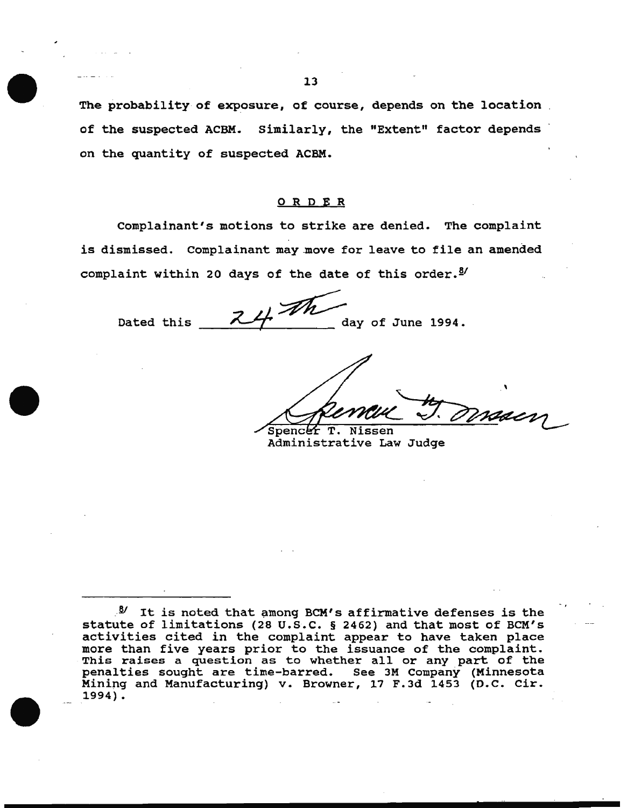The probability of exposure, of course, depends on the location of the suspected ACBM. Similarly, the "Extent" factor depends on the quantity of suspected ACBM.

#### 0 R DE R

Complainant's motions to strike are denied. The complaint is dismissed. Complainant may move for leave to file an amended

complaint within 20 days of the date of this order.<sup>3/</sup><br>Dated this  $\frac{24}{\sqrt{h}}$  day of June 1994.

T. Nissen Spencer

-.

Administrative Law Judge

*<sup>.. §</sup>I* It is noted that among BCM' s affirmative defenses is the statute of limitations (28 u.s.c. § 2462) and that most of BCM's activities cited in the complaint appear to have taken place more than five years prior to the issuance of the complaint. mole than live years prior to the issuance of the complaint.<br>This raises a question as to whether all or any part of the penalties sought are time-barred. See 3M Company (Minnesota Mining and Manufacturing) v. Browner, 17 F.Jd 1453 (D.C. Cir. 1994).